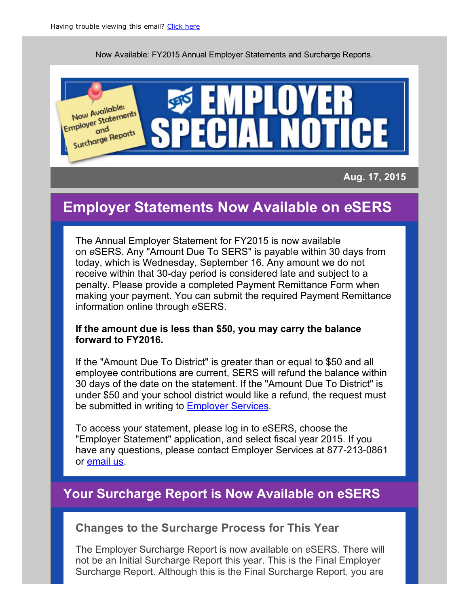Now Available: FY2015 [Annu](http://campaign.r20.constantcontact.com/render?llr=dfqtfgiab&v=001avab2lDATeP15C0wijgi92k3eTCRqFXmW9Tnr0BHTSlS94SxjydQ1gUVYFf99oRDw7362HAleRV129H25Jb4hoz3FEHNCUaU5pcAk9XUuwF_25s9TY-g0OJobaZS-WymqfTR6PKYv_POCbRcP07vMnnYWavakR4xYhBRHGMlHv4vMG7oMlWdAxbRnmacCkTO9w8uGiDQIiF8arMIZn27K3bPXDIv8hj-FSXzLtQcSWzwfd5u1Cnm75nJ4kG2UYwMqrWOsaTlAckIam3sz2YZLCreZ_EYV1BAFPNU0RmhOvAOG1iBVkVu8b-PGFwelUMB-ytSV6dfvJE%3D&id=preview)al Employer Statements and Surcharge Reports.



Aug. 17, 2015

# Employer Statements Now Available on *e*SERS

The Annual Employer Statement for FY2015 is now available on *e*SERS. Any "Amount Due To SERS" is payable within 30 days from today, which is Wednesday, September 16. Any amount we do not receive within that 30-day period is considered late and subject to a penalty. Please provide a completed Payment Remittance Form when making your payment. You can submit the required Payment Remittance information online through *e*SERS.

#### If the amount due is less than \$50, you may carry the balance forward to FY2016.

If the "Amount Due To District" is greater than or equal to \$50 and all employee contributions are current, SERS will refund the balance within 30 days of the date on the statement. If the "Amount Due To District" is under \$50 and your school district would like a refund, the request must be submitted in writing to **Employer Services**.

To access your statement, [please](mailto:employerservices@ohsers.org) log in to *e*SERS, choose the "Employer Statement" application, and select fiscal year 2015. If you have any questions, please contact Employer Services at 877-213-0861 or email us.

## Your [Surc](mailto:employerservices@ohsers.org)harge Report is Now Available on eSERS

#### Changes to the Surcharge Process for This Year

The Employer Surcharge Report is now available on *e*SERS. There will not be an Initial Surcharge Report this year. This is the Final Employer Surcharge Report. Although this is the Final Surcharge Report, you are